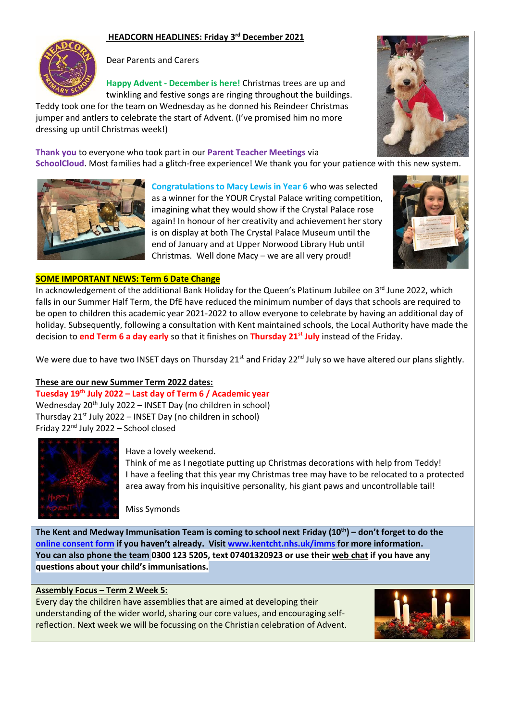# **HEADCORN HEADLINES: Friday 3 rd December 2021**



Dear Parents and Carers

**Happy Advent - December is here!** Christmas trees are up and twinkling and festive songs are ringing throughout the buildings.

Teddy took one for the team on Wednesday as he donned his Reindeer Christmas jumper and antlers to celebrate the start of Advent. (I've promised him no more dressing up until Christmas week!)

**Thank you** to everyone who took part in our **Parent Teacher Meetings** via **SchoolCloud**. Most families had a glitch-free experience! We thank you for your patience with this new system.



**Congratulations to Macy Lewis in Year 6** who was selected as a winner for the YOUR Crystal Palace writing competition, imagining what they would show if the Crystal Palace rose again! In honour of her creativity and achievement her story is on display at both The Crystal Palace Museum until the end of January and at Upper Norwood Library Hub until Christmas. Well done Macy – we are all very proud!





## **SOME IMPORTANT NEWS: Term 6 Date Change**

In acknowledgement of the additional Bank Holiday for the Queen's Platinum Jubilee on  $3^{rd}$  June 2022, which falls in our Summer Half Term, the DfE have reduced the minimum number of days that schools are required to be open to children this academic year 2021-2022 to allow everyone to celebrate by having an additional day of holiday. Subsequently, following a consultation with Kent maintained schools, the Local Authority have made the decision to **end Term 6 a day early** so that it finishes on **Thursday 21st July** instead of the Friday.

We were due to have two INSET days on Thursday 21<sup>st</sup> and Friday 22<sup>nd</sup> July so we have altered our plans slightly.

## **These are our new Summer Term 2022 dates:**

**Tuesday 19th July 2022 – Last day of Term 6 / Academic year** Wednesday 20<sup>th</sup> July 2022 – INSET Day (no children in school) Thursday  $21^{st}$  July 2022 – INSET Day (no children in school) Friday 22nd July 2022 – School closed



#### Have a lovely weekend.

Think of me as I negotiate putting up Christmas decorations with help from Teddy! I have a feeling that this year my Christmas tree may have to be relocated to a protected area away from his inquisitive personality, his giant paws and uncontrollable tail!

Miss Symonds

**The Kent and Medway Immunisation Team is coming to school next Friday (10th) – don't forget to do the [online consent form](https://childconsent.co.uk/kchft/consent/search) if you haven't already. Visit [www.kentcht.nhs.uk/imms](http://www.kentcht.nhs.uk/imms) for more information. You can also phone the team 0300 123 5205, text 07401320923 or use thei[r web chat](https://www.kentcht.nhs.uk/service/immunisation-team/immunisations-live-chat/) if you have any questions about your child's immunisations.**

#### **Assembly Focus – Term 2 Week 5:**

Every day the children have assemblies that are aimed at developing their understanding of the wider world, sharing our core values, and encouraging selfreflection. Next week we will be focussing on the Christian celebration of Advent.